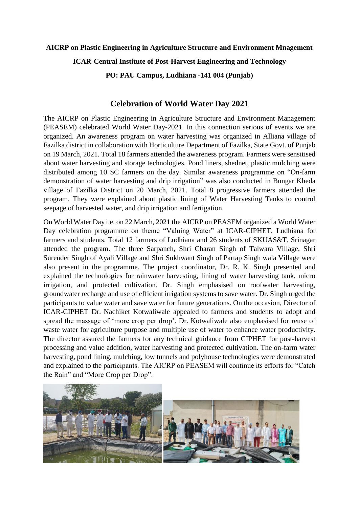## **AICRP on Plastic Engineering in Agriculture Structure and Environment Mnagement ICAR-Central Institute of Post-Harvest Engineering and Technology PO: PAU Campus, Ludhiana -141 004 (Punjab)**

## **Celebration of World Water Day 2021**

The AICRP on Plastic Engineering in Agriculture Structure and Environment Management (PEASEM) celebrated World Water Day-2021. In this connection serious of events we are organized. An awareness program on water harvesting was organized in Alliana village of Fazilka district in collaboration with Horticulture Department of Fazilka, State Govt. of Punjab on 19 March, 2021. Total 18 farmers attended the awareness program. Farmers were sensitised about water harvesting and storage technologies. Pond liners, shednet, plastic mulching were distributed among 10 SC farmers on the day. Similar awareness programme on "On-farm demonstration of water harvesting and drip irrigation" was also conducted in Bungar Kheda village of Fazilka District on 20 March, 2021. Total 8 progressive farmers attended the program. They were explained about plastic lining of Water Harvesting Tanks to control seepage of harvested water, and drip irrigation and fertigation.

On World Water Day i.e. on 22 March, 2021 the AICRP on PEASEM organized a World Water Day celebration programme on theme "Valuing Water" at ICAR-CIPHET, Ludhiana for farmers and students. Total 12 farmers of Ludhiana and 26 students of SKUAS&T, Srinagar attended the program. The three Sarpanch, Shri Charan Singh of Talwara Village, Shri Surender Singh of Ayali Village and Shri Sukhwant Singh of Partap Singh wala Village were also present in the programme. The project coordinator, Dr. R. K. Singh presented and explained the technologies for rainwater harvesting, lining of water harvesting tank, micro irrigation, and protected cultivation. Dr. Singh emphasised on roofwater harvesting, groundwater recharge and use of efficient irrigation systems to save water. Dr. Singh urged the participants to value water and save water for future generations. On the occasion, Director of ICAR-CIPHET Dr. Nachiket Kotwaliwale appealed to farmers and students to adopt and spread the massage of 'more crop per drop'. Dr. Kotwaliwale also emphasised for reuse of waste water for agriculture purpose and multiple use of water to enhance water productivity. The director assured the farmers for any technical guidance from CIPHET for post-harvest processing and value addition, water harvesting and protected cultivation. The on-farm water harvesting, pond lining, mulching, low tunnels and polyhouse technologies were demonstrated and explained to the participants. The AICRP on PEASEM will continue its efforts for "Catch the Rain" and "More Crop per Drop".